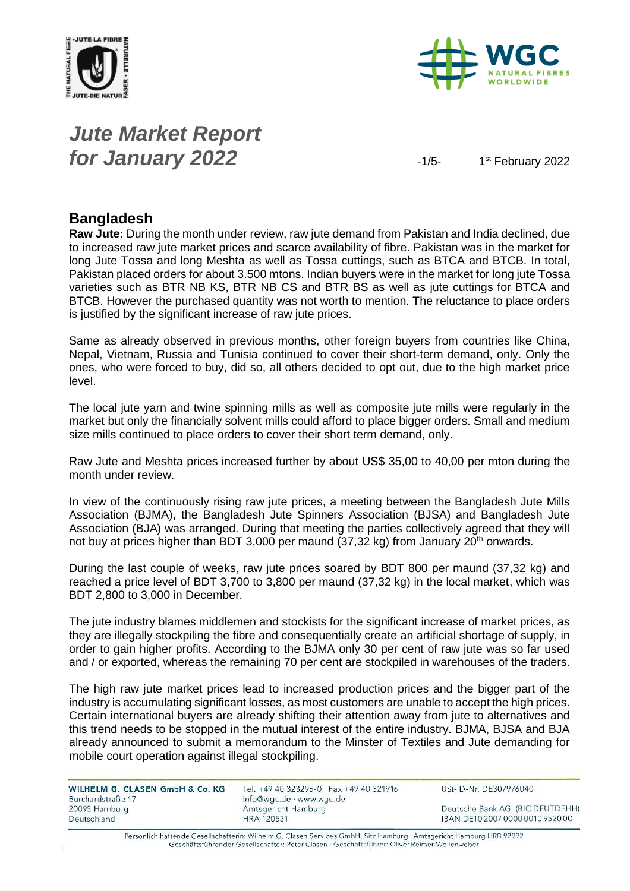



# *Jute Market Report for January 2022*  $\frac{1}{5}$

1st February 2022

#### **Bangladesh**

**Raw Jute:** During the month under review, raw jute demand from Pakistan and India declined, due to increased raw jute market prices and scarce availability of fibre. Pakistan was in the market for long Jute Tossa and long Meshta as well as Tossa cuttings, such as BTCA and BTCB. In total, Pakistan placed orders for about 3.500 mtons. Indian buyers were in the market for long jute Tossa varieties such as BTR NB KS, BTR NB CS and BTR BS as well as jute cuttings for BTCA and BTCB. However the purchased quantity was not worth to mention. The reluctance to place orders is justified by the significant increase of raw jute prices.

Same as already observed in previous months, other foreign buyers from countries like China, Nepal, Vietnam, Russia and Tunisia continued to cover their short-term demand, only. Only the ones, who were forced to buy, did so, all others decided to opt out, due to the high market price level.

The local jute yarn and twine spinning mills as well as composite jute mills were regularly in the market but only the financially solvent mills could afford to place bigger orders. Small and medium size mills continued to place orders to cover their short term demand, only.

Raw Jute and Meshta prices increased further by about US\$ 35,00 to 40,00 per mton during the month under review.

In view of the continuously rising raw jute prices, a meeting between the Bangladesh Jute Mills Association (BJMA), the Bangladesh Jute Spinners Association (BJSA) and Bangladesh Jute Association (BJA) was arranged. During that meeting the parties collectively agreed that they will not buy at prices higher than BDT 3,000 per maund  $(37,32 \text{ kg})$  from January  $20^{\text{th}}$  onwards.

During the last couple of weeks, raw jute prices soared by BDT 800 per maund (37,32 kg) and reached a price level of BDT 3,700 to 3,800 per maund (37,32 kg) in the local market, which was BDT 2,800 to 3,000 in December.

The jute industry blames middlemen and stockists for the significant increase of market prices, as they are illegally stockpiling the fibre and consequentially create an artificial shortage of supply, in order to gain higher profits. According to the BJMA only 30 per cent of raw jute was so far used and / or exported, whereas the remaining 70 per cent are stockpiled in warehouses of the traders.

The high raw jute market prices lead to increased production prices and the bigger part of the industry is accumulating significant losses, as most customers are unable to accept the high prices. Certain international buyers are already shifting their attention away from jute to alternatives and this trend needs to be stopped in the mutual interest of the entire industry. BJMA, BJSA and BJA already announced to submit a memorandum to the Minster of Textiles and Jute demanding for mobile court operation against illegal stockpiling.

| WILHELM G. CLASEN GmbH & Co. KG | Tel. +49 40 323295-0 · Fax +49 40 321916 | USt-ID-Nr. DE307976040           |
|---------------------------------|------------------------------------------|----------------------------------|
| Burchardstraße 17               | info@wgc.de · www.wgc.de                 |                                  |
| 20095 Hamburg                   | Amtsgericht Hamburg                      | Deutsche Bank AG (BIC DEUTDEHH)  |
| Deutschland                     | <b>HRA 120531</b>                        | IBAN DE10 2007 0000 0010 9520 00 |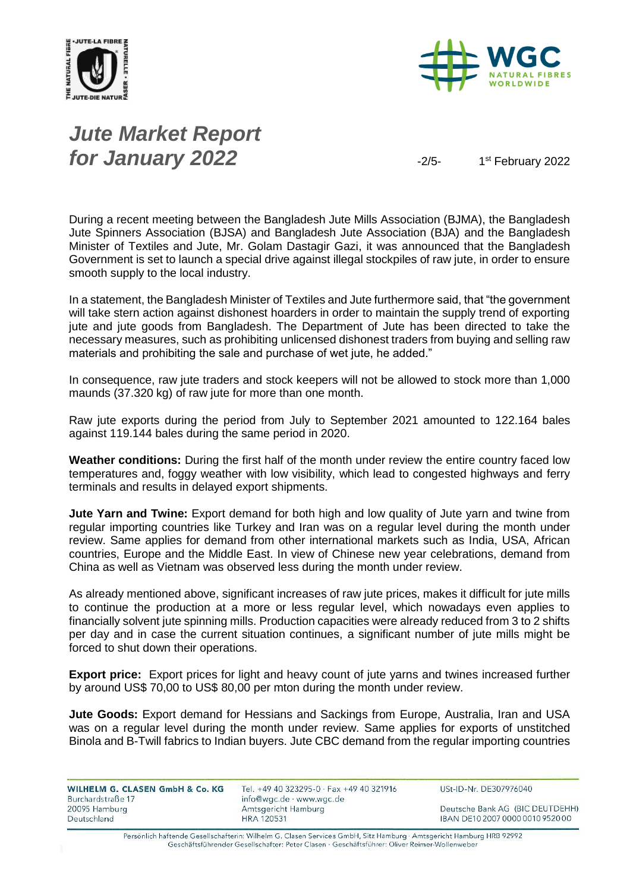



# *Jute Market Report for January 2022*  $\frac{1}{2}$

1st February 2022

During a recent meeting between the Bangladesh Jute Mills Association (BJMA), the Bangladesh Jute Spinners Association (BJSA) and Bangladesh Jute Association (BJA) and the Bangladesh Minister of Textiles and Jute, Mr. Golam Dastagir Gazi, it was announced that the Bangladesh Government is set to launch a special drive against illegal stockpiles of raw jute, in order to ensure smooth supply to the local industry.

In a statement, the Bangladesh Minister of Textiles and Jute furthermore said, that "the government will take stern action against dishonest hoarders in order to maintain the supply trend of exporting jute and jute goods from Bangladesh. The Department of Jute has been directed to take the necessary measures, such as prohibiting unlicensed dishonest traders from buying and selling raw materials and prohibiting the sale and purchase of wet jute, he added."

In consequence, raw jute traders and stock keepers will not be allowed to stock more than 1,000 maunds (37.320 kg) of raw jute for more than one month.

Raw jute exports during the period from July to September 2021 amounted to 122.164 bales against 119.144 bales during the same period in 2020.

**Weather conditions:** During the first half of the month under review the entire country faced low temperatures and, foggy weather with low visibility, which lead to congested highways and ferry terminals and results in delayed export shipments.

**Jute Yarn and Twine:** Export demand for both high and low quality of Jute yarn and twine from regular importing countries like Turkey and Iran was on a regular level during the month under review. Same applies for demand from other international markets such as India, USA, African countries, Europe and the Middle East. In view of Chinese new year celebrations, demand from China as well as Vietnam was observed less during the month under review.

As already mentioned above, significant increases of raw jute prices, makes it difficult for jute mills to continue the production at a more or less regular level, which nowadays even applies to financially solvent jute spinning mills. Production capacities were already reduced from 3 to 2 shifts per day and in case the current situation continues, a significant number of jute mills might be forced to shut down their operations.

**Export price:** Export prices for light and heavy count of jute yarns and twines increased further by around US\$ 70,00 to US\$ 80,00 per mton during the month under review.

**Jute Goods:** Export demand for Hessians and Sackings from Europe, Australia, Iran and USA was on a regular level during the month under review. Same applies for exports of unstitched Binola and B-Twill fabrics to Indian buyers. Jute CBC demand from the regular importing countries

| <b>WILHELM G. CLASEN GmbH &amp; Co. KG</b> | Tel. +49 40 323295-0 · Fax +49 40 321916 |  |
|--------------------------------------------|------------------------------------------|--|
| Burchardstraße 17                          | info@wgc.de · www.wgc.de                 |  |
| 20095 Hamburg                              | Amtsgericht Hamburg                      |  |
| Deutschland                                | HRA 120531                               |  |
|                                            |                                          |  |

USt-ID-Nr. DE307976040

Deutsche Bank AG (BIC DEUTDEHH) IBAN DE10 2007 0000 0010 9520 00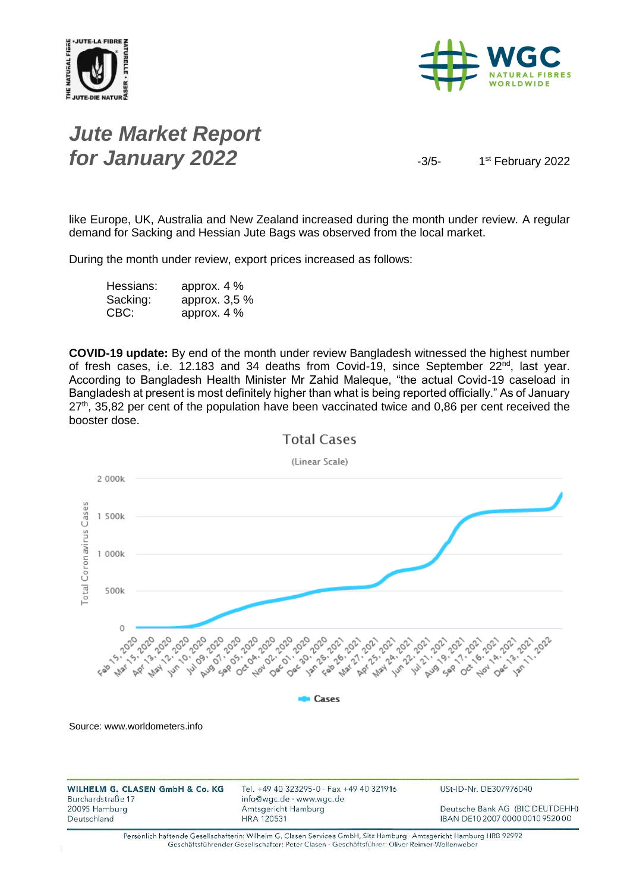



## *Jute Market Report for January 2022*  $\frac{3}{5}$

1st February 2022

like Europe, UK, Australia and New Zealand increased during the month under review. A regular demand for Sacking and Hessian Jute Bags was observed from the local market.

During the month under review, export prices increased as follows:

| Hessians: | approx. $4\%$ |
|-----------|---------------|
| Sacking:  | approx. 3,5 % |
| CBC:      | approx. $4\%$ |

**COVID-19 update:** By end of the month under review Bangladesh witnessed the highest number of fresh cases, i.e. 12.183 and 34 deaths from Covid-19, since September 22<sup>nd</sup>, last year. According to Bangladesh Health Minister Mr Zahid Maleque, "the actual Covid-19 caseload in Bangladesh at present is most definitely higher than what is being reported officially." As of January  $27<sup>th</sup>$ , 35,82 per cent of the population have been vaccinated twice and 0,86 per cent received the booster dose.



**Total Cases**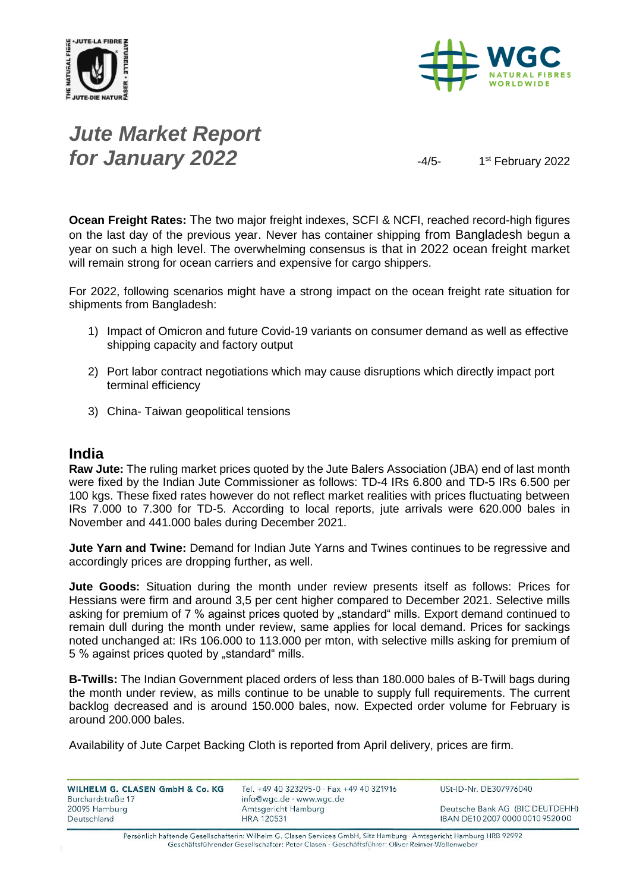



## *Jute Market Report for January 2022*  $\frac{4}{5}$

1st February 2022

**Ocean Freight Rates:** The two major freight indexes, SCFI & NCFI, reached record-high figures on the last day of the previous year. Never has container shipping from Bangladesh begun a year on such a high level. The overwhelming consensus is that in 2022 ocean freight market will remain strong for ocean carriers and expensive for cargo shippers.

For 2022, following scenarios might have a strong impact on the ocean freight rate situation for shipments from Bangladesh:

- 1) Impact of Omicron and future Covid-19 variants on consumer demand as well as effective shipping capacity and factory output
- 2) Port labor contract negotiations which may cause disruptions which directly impact port terminal efficiency
- 3) China- Taiwan geopolitical tensions

#### **India**

**Raw Jute:** The ruling market prices quoted by the Jute Balers Association (JBA) end of last month were fixed by the Indian Jute Commissioner as follows: TD-4 IRs 6.800 and TD-5 IRs 6.500 per 100 kgs. These fixed rates however do not reflect market realities with prices fluctuating between IRs 7.000 to 7.300 for TD-5. According to local reports, jute arrivals were 620.000 bales in November and 441.000 bales during December 2021.

**Jute Yarn and Twine:** Demand for Indian Jute Yarns and Twines continues to be regressive and accordingly prices are dropping further, as well.

**Jute Goods:** Situation during the month under review presents itself as follows: Prices for Hessians were firm and around 3,5 per cent higher compared to December 2021. Selective mills asking for premium of 7 % against prices quoted by "standard" mills. Export demand continued to remain dull during the month under review, same applies for local demand. Prices for sackings noted unchanged at: IRs 106.000 to 113.000 per mton, with selective mills asking for premium of 5 % against prices quoted by "standard" mills.

**B-Twills:** The Indian Government placed orders of less than 180.000 bales of B-Twill bags during the month under review, as mills continue to be unable to supply full requirements. The current backlog decreased and is around 150.000 bales, now. Expected order volume for February is around 200.000 bales.

Availability of Jute Carpet Backing Cloth is reported from April delivery, prices are firm.

WILHELM G. CLASEN GmbH & Co. KG Tel. +49 40 323295-0 · Fax +49 40 321916 USt-ID-Nr. DE307976040 Burchardstraße 17 info@wgc.de · www.wgc.de 20095 Hamburg Amtsgericht Hamburg Deutsche Bank AG (BIC DEUTDEHH) Deutschland **HRA 120531** IBAN DE10 2007 0000 0010 9520 00